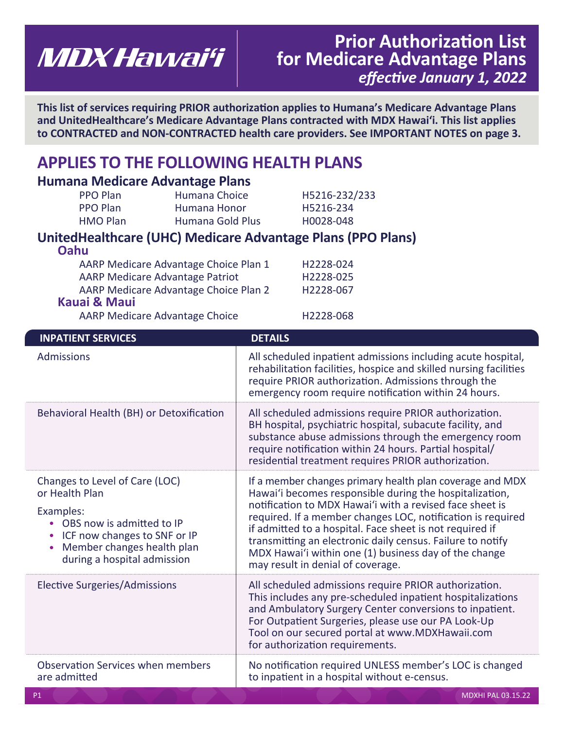# **Prior Authorization List MDX Hawai'i** for Medicare Advantage Plans  *effective January 1, 2022*

**This list of services requiring PRIOR authorization applies to Humana's Medicare Advantage Plans and UnitedHealthcare's Medicare Advantage Plans contracted with MDX Hawaiʻi. This list applies to CONTRACTED and NON-CONTRACTED health care providers. See IMPORTANT NOTES on page 3.** 

# **APPLIES TO THE FOLLOWING HEALTH PLANS**

### **Humana Medicare Advantage Plans**

| <b>PPO Plan</b> | Humana Choice    | H5216-232/233 |
|-----------------|------------------|---------------|
| PPO Plan        | Humana Honor     | H5216-234     |
| <b>HMO Plan</b> | Humana Gold Plus | H0028-048     |

### **UnitedHealthcare (UHC) Medicare Advantage Plans (PPO Plans) Oahu**

| vanu                                  |           |
|---------------------------------------|-----------|
| AARP Medicare Advantage Choice Plan 1 | H2228-024 |
| AARP Medicare Advantage Patriot       | H2228-025 |
| AARP Medicare Advantage Choice Plan 2 | H2228-067 |
| <b>Kauai &amp; Maui</b>               |           |
| <b>AARP Medicare Advantage Choice</b> | H2228-068 |
|                                       |           |

| <b>INPATIENT SERVICES</b>                                                                                                                                                                 | <b>DETAILS</b>                                                                                                                                                                                                                                                                                                                                                                                                                                                         |
|-------------------------------------------------------------------------------------------------------------------------------------------------------------------------------------------|------------------------------------------------------------------------------------------------------------------------------------------------------------------------------------------------------------------------------------------------------------------------------------------------------------------------------------------------------------------------------------------------------------------------------------------------------------------------|
| <b>Admissions</b>                                                                                                                                                                         | All scheduled inpatient admissions including acute hospital,<br>rehabilitation facilities, hospice and skilled nursing facilities<br>require PRIOR authorization. Admissions through the<br>emergency room require notification within 24 hours.                                                                                                                                                                                                                       |
| Behavioral Health (BH) or Detoxification                                                                                                                                                  | All scheduled admissions require PRIOR authorization.<br>BH hospital, psychiatric hospital, subacute facility, and<br>substance abuse admissions through the emergency room<br>require notification within 24 hours. Partial hospital/<br>residential treatment requires PRIOR authorization.                                                                                                                                                                          |
| Changes to Level of Care (LOC)<br>or Health Plan<br>Examples:<br>• OBS now is admitted to IP<br>ICF now changes to SNF or IP<br>Member changes health plan<br>during a hospital admission | If a member changes primary health plan coverage and MDX<br>Hawai'i becomes responsible during the hospitalization,<br>notification to MDX Hawai'i with a revised face sheet is<br>required. If a member changes LOC, notification is required<br>if admitted to a hospital. Face sheet is not required if<br>transmitting an electronic daily census. Failure to notify<br>MDX Hawai'i within one (1) business day of the change<br>may result in denial of coverage. |
| Elective Surgeries/Admissions                                                                                                                                                             | All scheduled admissions require PRIOR authorization.<br>This includes any pre-scheduled inpatient hospitalizations<br>and Ambulatory Surgery Center conversions to inpatient.<br>For Outpatient Surgeries, please use our PA Look-Up<br>Tool on our secured portal at www.MDXHawaii.com<br>for authorization requirements.                                                                                                                                            |
| <b>Observation Services when members</b><br>are admitted                                                                                                                                  | No notification required UNLESS member's LOC is changed<br>to inpatient in a hospital without e-census.                                                                                                                                                                                                                                                                                                                                                                |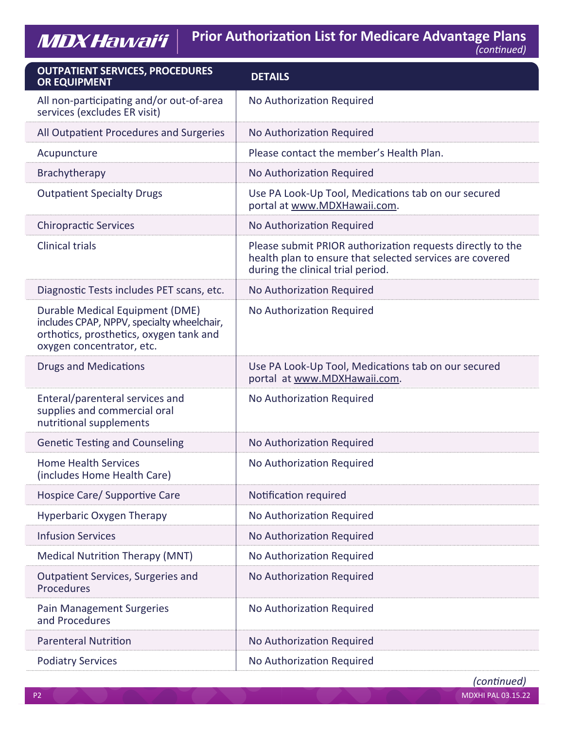**Prior Authorization List for Medicare Advantage Plans**

| (continued) |
|-------------|
|             |

| <b>OUTPATIENT SERVICES, PROCEDURES</b><br><b>OR EQUIPMENT</b>                                                                                         | <b>DETAILS</b>                                                                                                                                              |
|-------------------------------------------------------------------------------------------------------------------------------------------------------|-------------------------------------------------------------------------------------------------------------------------------------------------------------|
| All non-participating and/or out-of-area<br>services (excludes ER visit)                                                                              | No Authorization Required                                                                                                                                   |
| All Outpatient Procedures and Surgeries                                                                                                               | No Authorization Required                                                                                                                                   |
| Acupuncture                                                                                                                                           | Please contact the member's Health Plan.                                                                                                                    |
| Brachytherapy                                                                                                                                         | No Authorization Required                                                                                                                                   |
| <b>Outpatient Specialty Drugs</b>                                                                                                                     | Use PA Look-Up Tool, Medications tab on our secured<br>portal at www.MDXHawaii.com.                                                                         |
| <b>Chiropractic Services</b>                                                                                                                          | No Authorization Required                                                                                                                                   |
| <b>Clinical trials</b>                                                                                                                                | Please submit PRIOR authorization requests directly to the<br>health plan to ensure that selected services are covered<br>during the clinical trial period. |
| Diagnostic Tests includes PET scans, etc.                                                                                                             | No Authorization Required                                                                                                                                   |
| Durable Medical Equipment (DME)<br>includes CPAP, NPPV, specialty wheelchair,<br>orthotics, prosthetics, oxygen tank and<br>oxygen concentrator, etc. | No Authorization Required                                                                                                                                   |
| <b>Drugs and Medications</b>                                                                                                                          | Use PA Look-Up Tool, Medications tab on our secured<br>portal at www.MDXHawaii.com.                                                                         |
| Enteral/parenteral services and<br>supplies and commercial oral<br>nutritional supplements                                                            | No Authorization Required                                                                                                                                   |
| <b>Genetic Testing and Counseling</b>                                                                                                                 | No Authorization Required                                                                                                                                   |
| <b>Home Health Services</b><br>(includes Home Health Care)                                                                                            | No Authorization Required                                                                                                                                   |
| Hospice Care/ Supportive Care                                                                                                                         | Notification required                                                                                                                                       |
| <b>Hyperbaric Oxygen Therapy</b>                                                                                                                      | No Authorization Required                                                                                                                                   |
| <b>Infusion Services</b>                                                                                                                              | No Authorization Required                                                                                                                                   |
| <b>Medical Nutrition Therapy (MNT)</b>                                                                                                                | No Authorization Required                                                                                                                                   |
| <b>Outpatient Services, Surgeries and</b><br>Procedures                                                                                               | No Authorization Required                                                                                                                                   |
| <b>Pain Management Surgeries</b><br>and Procedures                                                                                                    | No Authorization Required                                                                                                                                   |
| <b>Parenteral Nutrition</b>                                                                                                                           | No Authorization Required                                                                                                                                   |
| <b>Podiatry Services</b>                                                                                                                              | No Authorization Required                                                                                                                                   |

Madaxaanadka Smartii Smartii Smartii Smartii Smartii Smartii Smartii Smartii Smartii Smartii Smartii Smartii S

MDX Hawai'i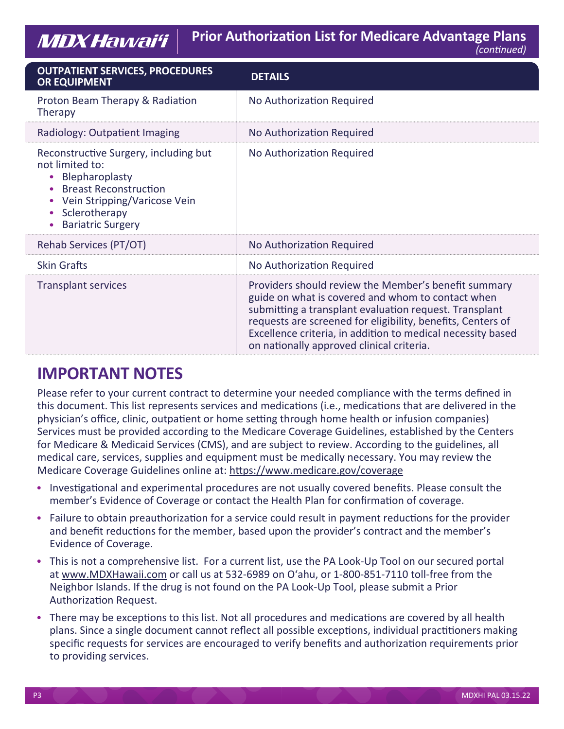MDXHawai'i

| <b>OUTPATIENT SERVICES, PROCEDURES</b><br><b>OR EQUIPMENT</b>                                                                                                                           | <b>DETAILS</b>                                                                                                                                                                                                                                                                                                                                 |
|-----------------------------------------------------------------------------------------------------------------------------------------------------------------------------------------|------------------------------------------------------------------------------------------------------------------------------------------------------------------------------------------------------------------------------------------------------------------------------------------------------------------------------------------------|
| Proton Beam Therapy & Radiation<br>Therapy                                                                                                                                              | No Authorization Required                                                                                                                                                                                                                                                                                                                      |
| Radiology: Outpatient Imaging                                                                                                                                                           | No Authorization Required                                                                                                                                                                                                                                                                                                                      |
| Reconstructive Surgery, including but<br>not limited to:<br>Blepharoplasty<br><b>Breast Reconstruction</b><br>Vein Stripping/Varicose Vein<br>Sclerotherapy<br><b>Bariatric Surgery</b> | No Authorization Required                                                                                                                                                                                                                                                                                                                      |
| Rehab Services (PT/OT)                                                                                                                                                                  | No Authorization Required                                                                                                                                                                                                                                                                                                                      |
| <b>Skin Grafts</b>                                                                                                                                                                      | No Authorization Required                                                                                                                                                                                                                                                                                                                      |
| <b>Transplant services</b>                                                                                                                                                              | Providers should review the Member's benefit summary<br>guide on what is covered and whom to contact when<br>submitting a transplant evaluation request. Transplant<br>requests are screened for eligibility, benefits, Centers of<br>Excellence criteria, in addition to medical necessity based<br>on nationally approved clinical criteria. |

## **IMPORTANT NOTES**

Please refer to your current contract to determine your needed compliance with the terms defined in this document. This list represents services and medications (i.e., medications that are delivered in the physician's office, clinic, outpatient or home setting through home health or infusion companies) Services must be provided according to the Medicare Coverage Guidelines, established by the Centers for Medicare & Medicaid Services (CMS), and are subject to review. According to the guidelines, all medical care, services, supplies and equipment must be medically necessary. You may review the Medicare Coverage Guidelines online at: https://www.medicare.gov/coverage

- Investigational and experimental procedures are not usually covered benefits. Please consult the member's Evidence of Coverage or contact the Health Plan for confirmation of coverage.
- Failure to obtain preauthorization for a service could result in payment reductions for the provider and benefit reductions for the member, based upon the provider's contract and the member's Evidence of Coverage.
- This is not a comprehensive list. For a current list, use the PA Look-Up Tool on our secured portal at www.MDXHawaii.com or call us at 532-6989 on O'ahu, or 1-800-851-7110 toll-free from the Neighbor Islands. If the drug is not found on the PA Look-Up Tool, please submit a Prior Authorization Request.
- There may be exceptions to this list. Not all procedures and medications are covered by all health plans. Since a single document cannot reflect all possible exceptions, individual practitioners making specific requests for services are encouraged to verify benefits and authorization requirements prior to providing services.